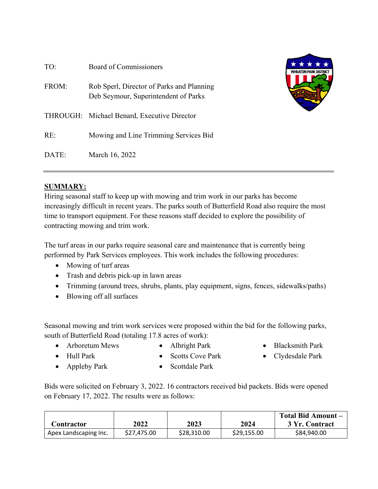| TO:   | Board of Commissioners                                                            | ★★★<br><b>WHEATON PARK DISTRICT</b> |
|-------|-----------------------------------------------------------------------------------|-------------------------------------|
| FROM: | Rob Sperl, Director of Parks and Planning<br>Deb Seymour, Superintendent of Parks |                                     |
|       | THROUGH: Michael Benard, Executive Director                                       |                                     |
| RE:   | Mowing and Line Trimming Services Bid                                             |                                     |
| DATE: | March 16, 2022                                                                    |                                     |

# **SUMMARY:**

Hiring seasonal staff to keep up with mowing and trim work in our parks has become increasingly difficult in recent years. The parks south of Butterfield Road also require the most time to transport equipment. For these reasons staff decided to explore the possibility of contracting mowing and trim work.

The turf areas in our parks require seasonal care and maintenance that is currently being performed by Park Services employees. This work includes the following procedures:

- Mowing of turf areas
- Trash and debris pick-up in lawn areas
- Trimming (around trees, shrubs, plants, play equipment, signs, fences, sidewalks/paths)
- Blowing off all surfaces

Seasonal mowing and trim work services were proposed within the bid for the following parks, south of Butterfield Road (totaling 17.8 acres of work):

- Arboretum Mews
- Albright Park
- Blacksmith Park
- Clydesdale Park

• Appleby Park

• Hull Park

• Scottdale Park

• Scotts Cove Park

Bids were solicited on February 3, 2022. 16 contractors received bid packets. Bids were opened on February 17, 2022. The results were as follows:

|                       |             |             |             | Total Bid Amount – |
|-----------------------|-------------|-------------|-------------|--------------------|
| Contractor            | 2022        | 2023        | 2024        | 3 Yr. Contract     |
| Apex Landscaping Inc. | \$27,475.00 | \$28,310.00 | \$29,155.00 | \$84,940.00        |